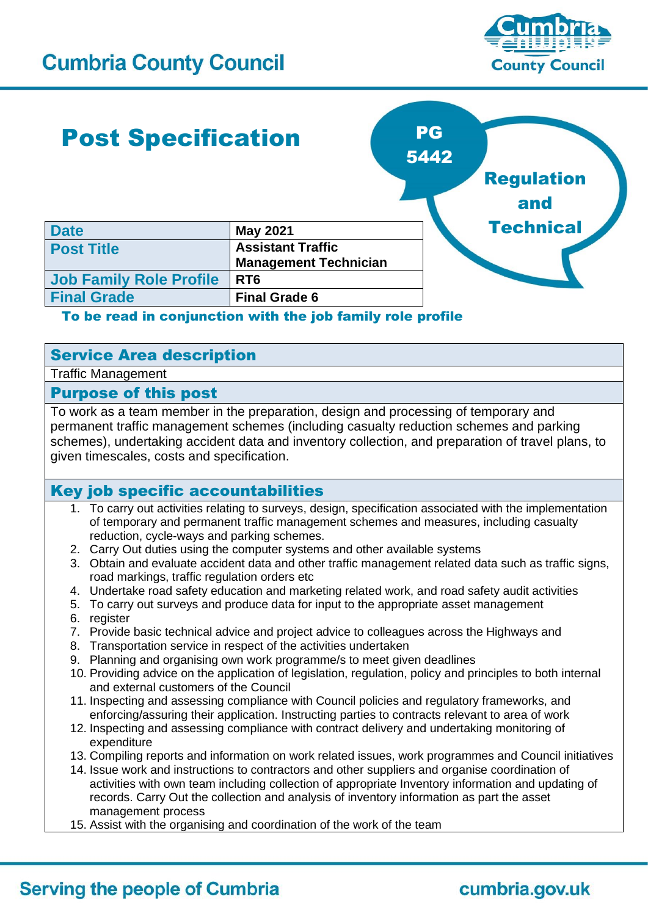

# Post Specification

**Date May** 2021

**Final Grade Final Grade 6**



# To be read in conjunction with the job family role profile

# Service Area description

**Job Family Role Profile RT6** 

Traffic Management

### Purpose of this post

To work as a team member in the preparation, design and processing of temporary and permanent traffic management schemes (including casualty reduction schemes and parking schemes), undertaking accident data and inventory collection, and preparation of travel plans, to given timescales, costs and specification.

### Key job specific accountabilities

- 1. To carry out activities relating to surveys, design, specification associated with the implementation of temporary and permanent traffic management schemes and measures, including casualty reduction, cycle-ways and parking schemes.
- 2. Carry Out duties using the computer systems and other available systems
- 3. Obtain and evaluate accident data and other traffic management related data such as traffic signs, road markings, traffic regulation orders etc
- 4. Undertake road safety education and marketing related work, and road safety audit activities
- 5. To carry out surveys and produce data for input to the appropriate asset management
- 6. register
- 7. Provide basic technical advice and project advice to colleagues across the Highways and
- 8. Transportation service in respect of the activities undertaken
- 9. Planning and organising own work programme/s to meet given deadlines
- 10. Providing advice on the application of legislation, regulation, policy and principles to both internal and external customers of the Council
- 11. Inspecting and assessing compliance with Council policies and regulatory frameworks, and enforcing/assuring their application. Instructing parties to contracts relevant to area of work
- 12. Inspecting and assessing compliance with contract delivery and undertaking monitoring of expenditure
- 13. Compiling reports and information on work related issues, work programmes and Council initiatives
- 14. Issue work and instructions to contractors and other suppliers and organise coordination of activities with own team including collection of appropriate Inventory information and updating of records. Carry Out the collection and analysis of inventory information as part the asset management process
- 15. Assist with the organising and coordination of the work of the team

# **Serving the people of Cumbria**

# cumbria.gov.uk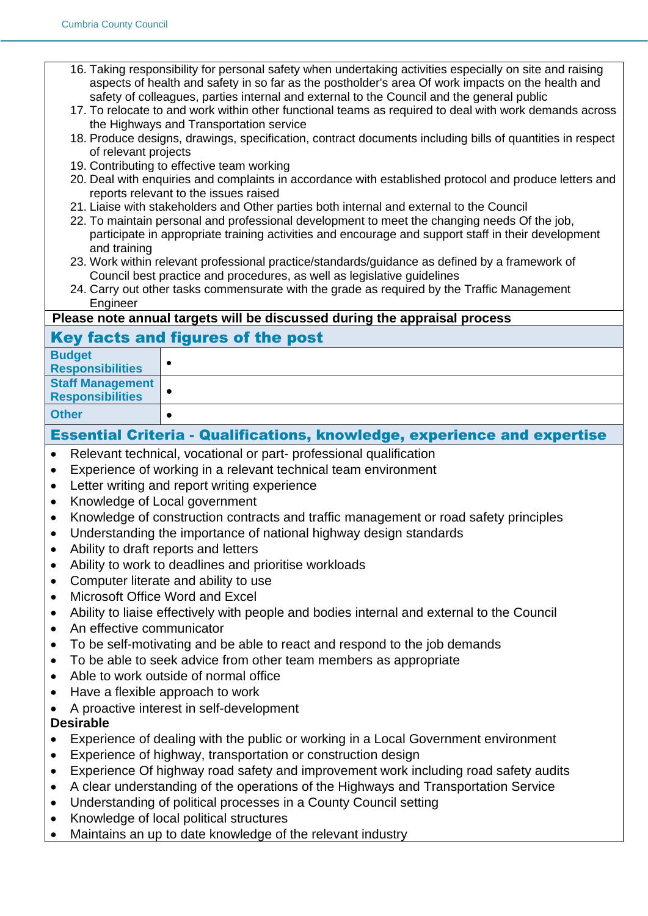- 16. Taking responsibility for personal safety when undertaking activities especially on site and raising aspects of health and safety in so far as the postholder's area Of work impacts on the health and safety of colleagues, parties internal and external to the Council and the general public
- 17. To relocate to and work within other functional teams as required to deal with work demands across the Highways and Transportation service
- 18. Produce designs, drawings, specification, contract documents including bills of quantities in respect of relevant projects
- 19. Contributing to effective team working
- 20. Deal with enquiries and complaints in accordance with established protocol and produce letters and reports relevant to the issues raised
- 21. Liaise with stakeholders and Other parties both internal and external to the Council
- 22. To maintain personal and professional development to meet the changing needs Of the job, participate in appropriate training activities and encourage and support staff in their development and training
- 23. Work within relevant professional practice/standards/guidance as defined by a framework of Council best practice and procedures, as well as legislative guidelines
- 24. Carry out other tasks commensurate with the grade as required by the Traffic Management Engineer

#### **Please note annual targets will be discussed during the appraisal process**

### Key facts and figures of the post

| <b>Budget</b><br><b>Responsibilities</b>           |  |
|----------------------------------------------------|--|
| <b>Staff Management</b><br><b>Responsibilities</b> |  |
| <b>Other</b>                                       |  |

### Essential Criteria - Qualifications, knowledge, experience and expertise

- Relevant technical, vocational or part- professional qualification
- Experience of working in a relevant technical team environment
- Letter writing and report writing experience
- Knowledge of Local government
- Knowledge of construction contracts and traffic management or road safety principles
- Understanding the importance of national highway design standards
- Ability to draft reports and letters
- Ability to work to deadlines and prioritise workloads
- Computer literate and ability to use
- Microsoft Office Word and Excel
- Ability to liaise effectively with people and bodies internal and external to the Council
- An effective communicator
- To be self-motivating and be able to react and respond to the job demands
- To be able to seek advice from other team members as appropriate
- Able to work outside of normal office
- Have a flexible approach to work
- A proactive interest in self-development

#### **Desirable**

- Experience of dealing with the public or working in a Local Government environment
- Experience of highway, transportation or construction design
- Experience Of highway road safety and improvement work including road safety audits
- A clear understanding of the operations of the Highways and Transportation Service
- Understanding of political processes in a County Council setting
- Knowledge of local political structures
- Maintains an up to date knowledge of the relevant industry